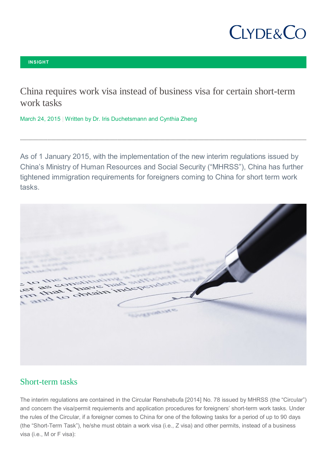# **CLYDE&CO**

#### **INSIGHT**

China requires work visa instead of business visa for certain short-term work tasks

March 24, 2015 | Written by Dr. Iris Duchetsmann and Cynthia Zheng

As of 1 January 2015, with the implementation of the new interim regulations issued by China's Ministry of Human Resources and Social Security ("MHRSS"), China has further tightened immigration requirements for foreigners coming to China for short term work tasks.



### Short-term tasks

The interim regulations are contained in the Circular Renshebufa [2014] No. 78 issued by MHRSS (the "Circular") and concern the visa/permit requiements and application procedures for foreigners' short-term work tasks. Under the rules of the Circular, if a foreigner comes to China for one of the following tasks for a period of up to 90 days (the "Short-Term Task"), he/she must obtain a work visa (i.e., Z visa) and other permits, instead of a business visa (i.e., M or F visa):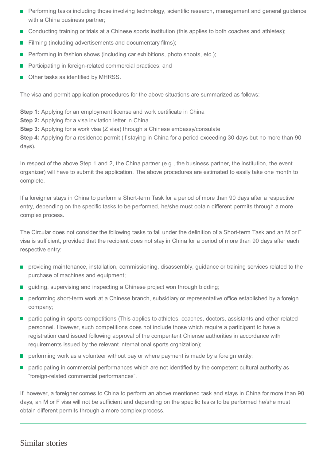- **Performing tasks including those involving technology, scientific research, management and general guidance** with a China business partner;
- Conducting training or trials at a Chinese sports institution (this applies to both coaches and athletes);
- Filming (including advertisements and documentary films);  $\mathcal{L}_{\mathcal{A}}$
- Performing in fashion shows (including car exhibitions, photo shoots, etc.);
- Participating in foreign-related commercial practices; and
- Other tasks as identified by MHRSS.

The visa and permit application procedures for the above situations are summarized as follows:

**Step 1:** Applying for an employment license and work certificate in China **Step 2:** Applying for a visa invitation letter in China **Step 3:** Applying for a work visa (Z visa) through a Chinese embassy/consulate **Step 4:** Applying for a residence permit (if staying in China for a period exceeding 30 days but no more than 90

days).

In respect of the above Step 1 and 2, the China partner (e.g., the business partner, the institution, the event organizer) will have to submit the application. The above procedures are estimated to easily take one month to complete.

If a foreigner stays in China to perform a Short-term Task for a period of more than 90 days after a respective entry, depending on the specific tasks to be performed, he/she must obtain different permits through a more complex process.

The Circular does not consider the following tasks to fall under the definition of a Short-term Task and an M or F visa is sufficient, provided that the recipient does not stay in China for a period of more than 90 days after each respective entry:

- **Peroviding maintenance, installation, commissioning, disassembly, guidance or training services related to the** purchase of machines and equipment;
- quiding, supervising and inspecting a Chinese project won through bidding;
- **P** performing short-term work at a Chinese branch, subsidiary or representative office established by a foreign company;
- **Participating in sports competitions (This applies to athletes, coaches, doctors, assistants and other related** personnel. However, such competitions does not include those which require a participant to have a registration card issued following approval of the compentent Chiense authorities in accordance with requirements issued by the relevant international sports orgnization);
- $\blacksquare$  performing work as a volunteer without pay or where payment is made by a foreign entity;
- **P** participating in commercial performances which are not identified by the competent cultural authority as "foreign-related commercial performances".

If, however, a foreigner comes to China to perform an above mentioned task and stays in China for more than 90 days, an M or F visa will not be sufficient and depending on the specific tasks to be performed he/she must obtain different permits through a more complex process.

#### Similar stories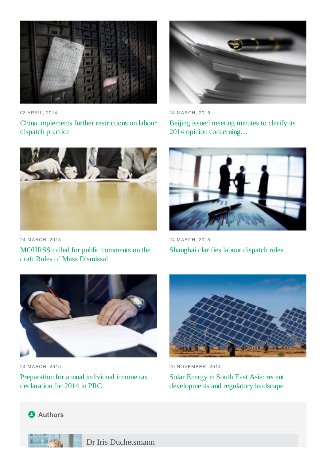

03 APRIL, 2014 China implements further restrictions on labour dispatch practice



24 MARCH, 2015 MOHRSS called for public comments on the draft Rules of Mass Dismissal



24 MARCH, 2015

Beijing issued meeting minutes to clarify its 2014 opinion concerning…



24 MARCH, 2015 Shanghai clarifies labour dispatch rules



24 MARCH, 2015

Preparation for annual individual income tax declaration for 2014 in PRC



20 NOVEMBER, 2014 Solar Energy in South East Asia: recent developments and regulatory landscape